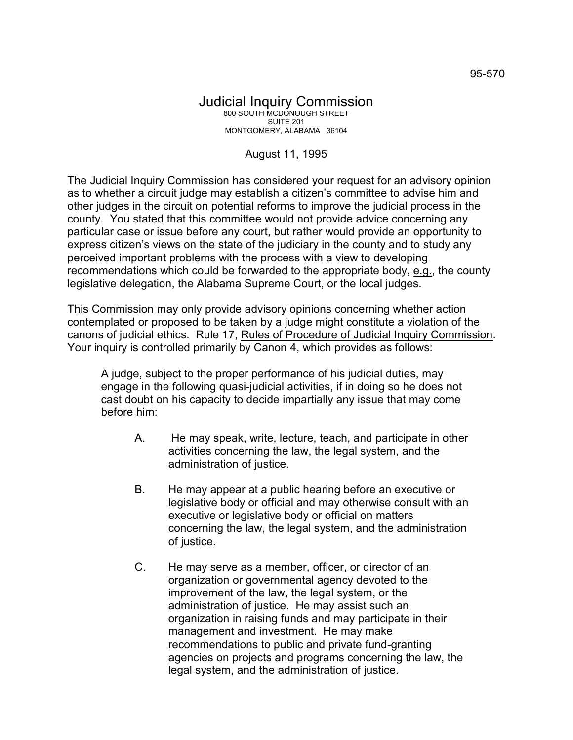## August 11, 1995

The Judicial Inquiry Commission has considered your request for an advisory opinion as to whether a circuit judge may establish a citizen's committee to advise him and other judges in the circuit on potential reforms to improve the judicial process in the county. You stated that this committee would not provide advice concerning any particular case or issue before any court, but rather would provide an opportunity to express citizen's views on the state of the judiciary in the county and to study any perceived important problems with the process with a view to developing recommendations which could be forwarded to the appropriate body, e.g., the county legislative delegation, the Alabama Supreme Court, or the local judges.

This Commission may only provide advisory opinions concerning whether action contemplated or proposed to be taken by a judge might constitute a violation of the canons of judicial ethics. Rule 17, Rules of Procedure of Judicial Inquiry Commission. Your inquiry is controlled primarily by Canon 4, which provides as follows:

A judge, subject to the proper performance of his judicial duties, may engage in the following quasi-judicial activities, if in doing so he does not cast doubt on his capacity to decide impartially any issue that may come before him:

- A. He may speak, write, lecture, teach, and participate in other activities concerning the law, the legal system, and the administration of justice.
- B. He may appear at a public hearing before an executive or legislative body or official and may otherwise consult with an executive or legislative body or official on matters concerning the law, the legal system, and the administration of justice.
- C. He may serve as a member, officer, or director of an organization or governmental agency devoted to the improvement of the law, the legal system, or the administration of justice. He may assist such an organization in raising funds and may participate in their management and investment. He may make recommendations to public and private fund-granting agencies on projects and programs concerning the law, the legal system, and the administration of justice.